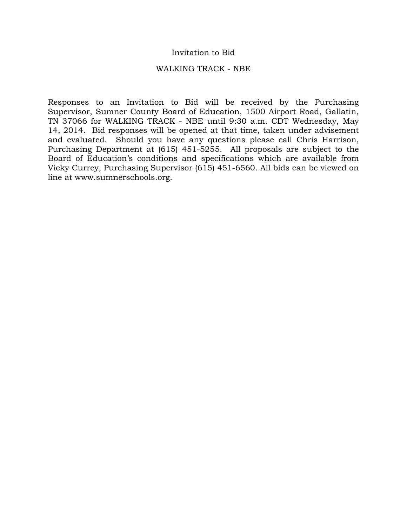#### Invitation to Bid

#### WALKING TRACK - NBE

Responses to an Invitation to Bid will be received by the Purchasing Supervisor, Sumner County Board of Education, 1500 Airport Road, Gallatin, TN 37066 for WALKING TRACK - NBE until 9:30 a.m. CDT Wednesday, May 14, 2014. Bid responses will be opened at that time, taken under advisement and evaluated. Should you have any questions please call Chris Harrison, Purchasing Department at (615) 451-5255. All proposals are subject to the Board of Education's conditions and specifications which are available from Vicky Currey, Purchasing Supervisor (615) 451-6560. All bids can be viewed on line at www.sumnerschools.org.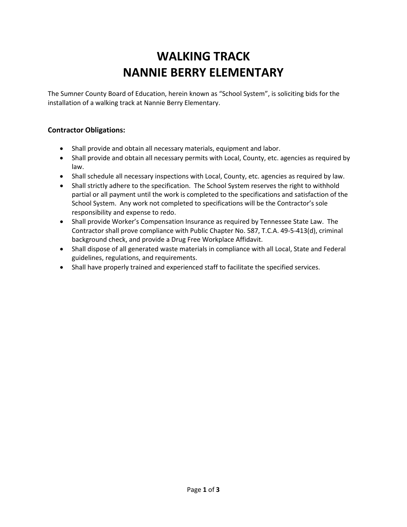# **WALKING TRACK NANNIE BERRY ELEMENTARY**

The Sumner County Board of Education, herein known as "School System", is soliciting bids for the installation of a walking track at Nannie Berry Elementary.

## **Contractor Obligations:**

- Shall provide and obtain all necessary materials, equipment and labor.
- Shall provide and obtain all necessary permits with Local, County, etc. agencies as required by law.
- Shall schedule all necessary inspections with Local, County, etc. agencies as required by law.
- Shall strictly adhere to the specification. The School System reserves the right to withhold partial or all payment until the work is completed to the specifications and satisfaction of the School System. Any work not completed to specifications will be the Contractor's sole responsibility and expense to redo.
- Shall provide Worker's Compensation Insurance as required by Tennessee State Law. The Contractor shall prove compliance with Public Chapter No. 587, T.C.A. 49-5-413(d), criminal background check, and provide a Drug Free Workplace Affidavit.
- Shall dispose of all generated waste materials in compliance with all Local, State and Federal guidelines, regulations, and requirements.
- Shall have properly trained and experienced staff to facilitate the specified services.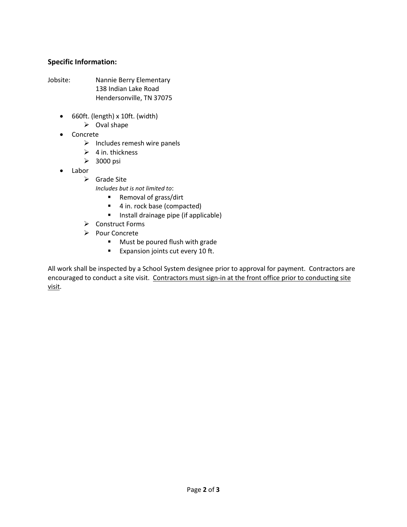## **Specific Information:**

- Jobsite: Nannie Berry Elementary 138 Indian Lake Road Hendersonville, TN 37075
	- 660ft. (length) x 10ft. (width)
		- $\triangleright$  Oval shape
	- Concrete
		- $\triangleright$  Includes remesh wire panels
		- $\triangleright$  4 in. thickness
		- $\geq$  3000 psi
	- Labor
		- $\triangleright$  Grade Site

*Includes but is not limited to*:

- Removal of grass/dirt
- 4 in. rock base (compacted)
- **Install drainage pipe (if applicable)**
- **►** Construct Forms
- Pour Concrete
	- **Must be poured flush with grade**
	- **Expansion joints cut every 10 ft.**

All work shall be inspected by a School System designee prior to approval for payment. Contractors are encouraged to conduct a site visit. Contractors must sign-in at the front office prior to conducting site visit.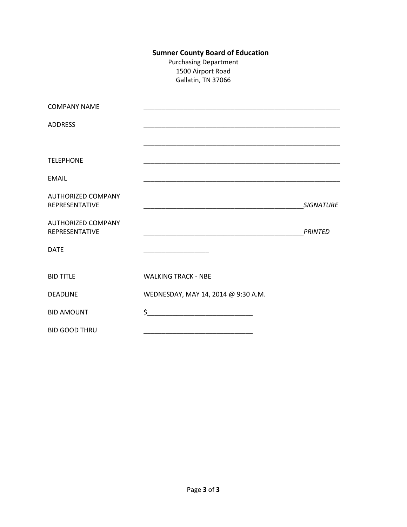## **Sumner County Board of Education**

Purchasing Department 1500 Airport Road Gallatin, TN 37066

| <b>COMPANY NAME</b>                                |                                                                                                                       |                  |
|----------------------------------------------------|-----------------------------------------------------------------------------------------------------------------------|------------------|
| <b>ADDRESS</b>                                     |                                                                                                                       |                  |
|                                                    |                                                                                                                       |                  |
| <b>TELEPHONE</b>                                   | <u> 1989 - Johann John Stoff, deutscher Stoffen und der Stoffen und der Stoffen und der Stoffen und der Stoffen u</u> |                  |
| <b>EMAIL</b>                                       |                                                                                                                       |                  |
| <b>AUTHORIZED COMPANY</b><br><b>REPRESENTATIVE</b> | <u> 1989 - Andrea Santa Andrea Andrea Andrea Andrea Andrea Andrea Andrea Andrea Andrea Andrea Andrea Andrea Andr</u>  | <b>SIGNATURE</b> |
| <b>AUTHORIZED COMPANY</b><br>REPRESENTATIVE        | <u> 1990 - Johann John Stone, mars et al. (1990)</u>                                                                  | <b>PRINTED</b>   |
| <b>DATE</b>                                        |                                                                                                                       |                  |
| <b>BID TITLE</b>                                   | <b>WALKING TRACK - NBE</b>                                                                                            |                  |
| <b>DEADLINE</b>                                    | WEDNESDAY, MAY 14, 2014 @ 9:30 A.M.                                                                                   |                  |
| <b>BID AMOUNT</b>                                  | $\frac{1}{2}$                                                                                                         |                  |
| <b>BID GOOD THRU</b>                               |                                                                                                                       |                  |